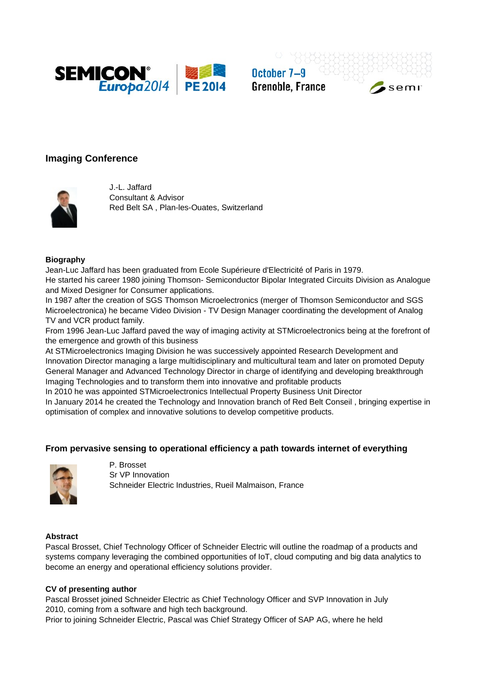

October 7-9 **Grenoble, France** 





J.-L. Jaffard Consultant & Advisor Red Belt SA , Plan-les-Ouates, Switzerland

#### **Biography**

Jean-Luc Jaffard has been graduated from Ecole Supérieure d'Electricité of Paris in 1979. He started his career 1980 joining Thomson- Semiconductor Bipolar Integrated Circuits Division as Analogue and Mixed Designer for Consumer applications.

In 1987 after the creation of SGS Thomson Microelectronics (merger of Thomson Semiconductor and SGS Microelectronica) he became Video Division - TV Design Manager coordinating the development of Analog TV and VCR product family.

From 1996 Jean-Luc Jaffard paved the way of imaging activity at STMicroelectronics being at the forefront of the emergence and growth of this business

At STMicroelectronics Imaging Division he was successively appointed Research Development and Innovation Director managing a large multidisciplinary and multicultural team and later on promoted Deputy General Manager and Advanced Technology Director in charge of identifying and developing breakthrough Imaging Technologies and to transform them into innovative and profitable products

In 2010 he was appointed STMicroelectronics Intellectual Property Business Unit Director

In January 2014 he created the Technology and Innovation branch of Red Belt Conseil , bringing expertise in optimisation of complex and innovative solutions to develop competitive products.

## **From pervasive sensing to operational efficiency a path towards internet of everything**



P. Brosset Sr VP Innovation Schneider Electric Industries, Rueil Malmaison, France

#### **Abstract**

Pascal Brosset, Chief Technology Officer of Schneider Electric will outline the roadmap of a products and systems company leveraging the combined opportunities of IoT, cloud computing and big data analytics to become an energy and operational efficiency solutions provider.

#### **CV of presenting author**

Pascal Brosset joined Schneider Electric as Chief Technology Officer and SVP Innovation in July 2010, coming from a software and high tech background.

Prior to joining Schneider Electric, Pascal was Chief Strategy Officer of SAP AG, where he held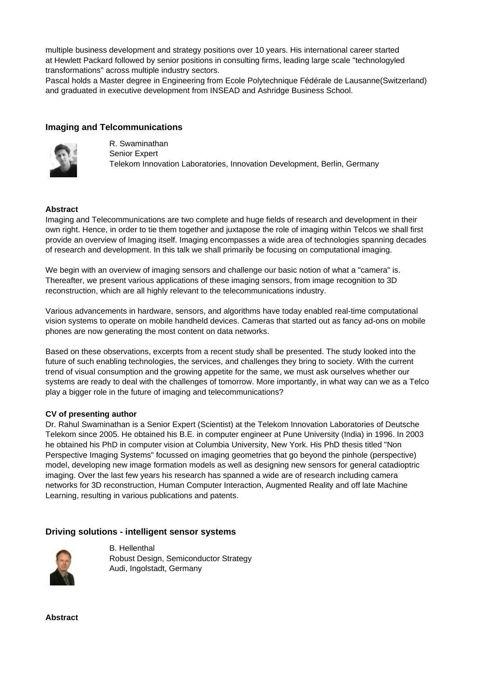multiple business development and strategy positions over 10 years. His international career started at Hewlett Packard followed by senior positions in consulting firms, leading large scale "technologyled transformations" across multiple industry sectors.

Pascal holds a Master degree in Engineering from Ecole Polytechnique Fédérale de Lausanne(Switzerland) and graduated in executive development from INSEAD and Ashridge Business School.

## **Imaging and Telcommunications**



R. Swaminathan Senior Expert Telekom Innovation Laboratories, Innovation Development, Berlin, Germany

### **Abstract**

Imaging and Telecommunications are two complete and huge fields of research and development in their own right. Hence, in order to tie them together and juxtapose the role of imaging within Telcos we shall first provide an overview of Imaging itself. Imaging encompasses a wide area of technologies spanning decades of research and development. In this talk we shall primarily be focusing on computational imaging.

We begin with an overview of imaging sensors and challenge our basic notion of what a "camera" is. Thereafter, we present various applications of these imaging sensors, from image recognition to 3D reconstruction, which are all highly relevant to the telecommunications industry.

Various advancements in hardware, sensors, and algorithms have today enabled real-time computational vision systems to operate on mobile handheld devices. Cameras that started out as fancy ad-ons on mobile phones are now generating the most content on data networks.

Based on these observations, excerpts from a recent study shall be presented. The study looked into the future of such enabling technologies, the services, and challenges they bring to society. With the current trend of visual consumption and the growing appetite for the same, we must ask ourselves whether our systems are ready to deal with the challenges of tomorrow. More importantly, in what way can we as a Telco play a bigger role in the future of imaging and telecommunications?

### **CV of presenting author**

Dr. Rahul Swaminathan is a Senior Expert (Scientist) at the Telekom Innovation Laboratories of Deutsche Telekom since 2005. He obtained his B.E. in computer engineer at Pune University (India) in 1996. In 2003 he obtained his PhD in computer vision at Columbia University, New York. His PhD thesis titled "Non Perspective Imaging Systems" focussed on imaging geometries that go beyond the pinhole (perspective) model, developing new image formation models as well as designing new sensors for general catadioptric imaging. Over the last few years his research has spanned a wide are of research including camera networks for 3D reconstruction, Human Computer Interaction, Augmented Reality and off late Machine Learning, resulting in various publications and patents.

### **Driving solutions - intelligent sensor systems**



B. Hellenthal Robust Design, Semiconductor Strategy Audi, Ingolstadt, Germany

**Abstract**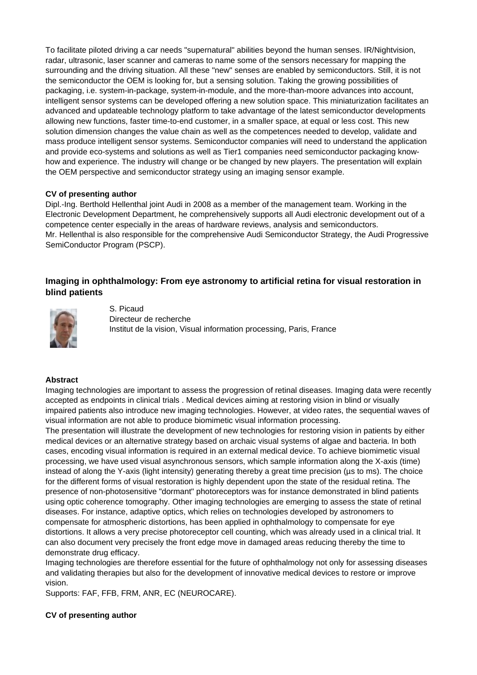To facilitate piloted driving a car needs "supernatural" abilities beyond the human senses. IR/Nightvision, radar, ultrasonic, laser scanner and cameras to name some of the sensors necessary for mapping the surrounding and the driving situation. All these "new" senses are enabled by semiconductors. Still, it is not the semiconductor the OEM is looking for, but a sensing solution. Taking the growing possibilities of packaging, i.e. system-in-package, system-in-module, and the more-than-moore advances into account, intelligent sensor systems can be developed offering a new solution space. This miniaturization facilitates an advanced and updateable technology platform to take advantage of the latest semiconductor developments allowing new functions, faster time-to-end customer, in a smaller space, at equal or less cost. This new solution dimension changes the value chain as well as the competences needed to develop, validate and mass produce intelligent sensor systems. Semiconductor companies will need to understand the application and provide eco-systems and solutions as well as Tier1 companies need semiconductor packaging knowhow and experience. The industry will change or be changed by new players. The presentation will explain the OEM perspective and semiconductor strategy using an imaging sensor example.

### **CV of presenting author**

Dipl.-Ing. Berthold Hellenthal joint Audi in 2008 as a member of the management team. Working in the Electronic Development Department, he comprehensively supports all Audi electronic development out of a competence center especially in the areas of hardware reviews, analysis and semiconductors. Mr. Hellenthal is also responsible for the comprehensive Audi Semiconductor Strategy, the Audi Progressive SemiConductor Program (PSCP).

## **Imaging in ophthalmology: From eye astronomy to artificial retina for visual restoration in blind patients**



S. Picaud Directeur de recherche Institut de la vision, Visual information processing, Paris, France

#### **Abstract**

Imaging technologies are important to assess the progression of retinal diseases. Imaging data were recently accepted as endpoints in clinical trials . Medical devices aiming at restoring vision in blind or visually impaired patients also introduce new imaging technologies. However, at video rates, the sequential waves of visual information are not able to produce biomimetic visual information processing.

The presentation will illustrate the development of new technologies for restoring vision in patients by either medical devices or an alternative strategy based on archaic visual systems of algae and bacteria. In both cases, encoding visual information is required in an external medical device. To achieve biomimetic visual processing, we have used visual asynchronous sensors, which sample information along the X-axis (time) instead of along the Y-axis (light intensity) generating thereby a great time precision (µs to ms). The choice for the different forms of visual restoration is highly dependent upon the state of the residual retina. The presence of non-photosensitive "dormant" photoreceptors was for instance demonstrated in blind patients using optic coherence tomography. Other imaging technologies are emerging to assess the state of retinal diseases. For instance, adaptive optics, which relies on technologies developed by astronomers to compensate for atmospheric distortions, has been applied in ophthalmology to compensate for eye distortions. It allows a very precise photoreceptor cell counting, which was already used in a clinical trial. It can also document very precisely the front edge move in damaged areas reducing thereby the time to demonstrate drug efficacy.

Imaging technologies are therefore essential for the future of ophthalmology not only for assessing diseases and validating therapies but also for the development of innovative medical devices to restore or improve vision.

Supports: FAF, FFB, FRM, ANR, EC (NEUROCARE).

### **CV of presenting author**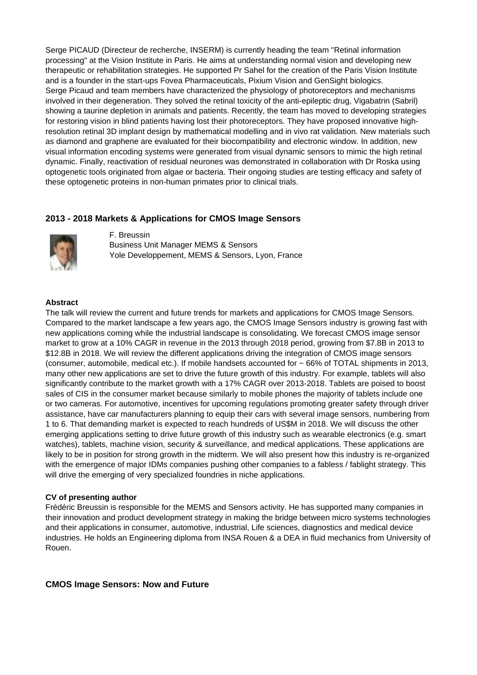Serge PICAUD (Directeur de recherche, INSERM) is currently heading the team "Retinal information processing" at the Vision Institute in Paris. He aims at understanding normal vision and developing new therapeutic or rehabilitation strategies. He supported Pr Sahel for the creation of the Paris Vision Institute and is a founder in the start-ups Fovea Pharmaceuticals, Pixium Vision and GenSight biologics. Serge Picaud and team members have characterized the physiology of photoreceptors and mechanisms involved in their degeneration. They solved the retinal toxicity of the anti-epileptic drug, Vigabatrin (Sabril) showing a taurine depletion in animals and patients. Recently, the team has moved to developing strategies for restoring vision in blind patients having lost their photoreceptors. They have proposed innovative highresolution retinal 3D implant design by mathematical modelling and in vivo rat validation. New materials such as diamond and graphene are evaluated for their biocompatibility and electronic window. In addition, new visual information encoding systems were generated from visual dynamic sensors to mimic the high retinal dynamic. Finally, reactivation of residual neurones was demonstrated in collaboration with Dr Roska using optogenetic tools originated from algae or bacteria. Their ongoing studies are testing efficacy and safety of these optogenetic proteins in non-human primates prior to clinical trials.

## **2013 - 2018 Markets & Applications for CMOS Image Sensors**



F. Breussin Business Unit Manager MEMS & Sensors Yole Developpement, MEMS & Sensors, Lyon, France

#### **Abstract**

The talk will review the current and future trends for markets and applications for CMOS Image Sensors. Compared to the market landscape a few years ago, the CMOS Image Sensors industry is growing fast with new applications coming while the industrial landscape is consolidating. We forecast CMOS image sensor market to grow at a 10% CAGR in revenue in the 2013 through 2018 period, growing from \$7.8B in 2013 to \$12.8B in 2018. We will review the different applications driving the integration of CMOS image sensors (consumer, automobile, medical etc.). If mobile handsets accounted for ~ 66% of TOTAL shipments in 2013, many other new applications are set to drive the future growth of this industry. For example, tablets will also significantly contribute to the market growth with a 17% CAGR over 2013-2018. Tablets are poised to boost sales of CIS in the consumer market because similarly to mobile phones the majority of tablets include one or two cameras. For automotive, incentives for upcoming regulations promoting greater safety through driver assistance, have car manufacturers planning to equip their cars with several image sensors, numbering from 1 to 6. That demanding market is expected to reach hundreds of US\$M in 2018. We will discuss the other emerging applications setting to drive future growth of this industry such as wearable electronics (e.g. smart watches), tablets, machine vision, security & surveillance, and medical applications. These applications are likely to be in position for strong growth in the midterm. We will also present how this industry is re-organized with the emergence of major IDMs companies pushing other companies to a fabless / fablight strategy. This will drive the emerging of very specialized foundries in niche applications.

#### **CV of presenting author**

Frédéric Breussin is responsible for the MEMS and Sensors activity. He has supported many companies in their innovation and product development strategy in making the bridge between micro systems technologies and their applications in consumer, automotive, industrial, Life sciences, diagnostics and medical device industries. He holds an Engineering diploma from INSA Rouen & a DEA in fluid mechanics from University of Rouen.

#### **CMOS Image Sensors: Now and Future**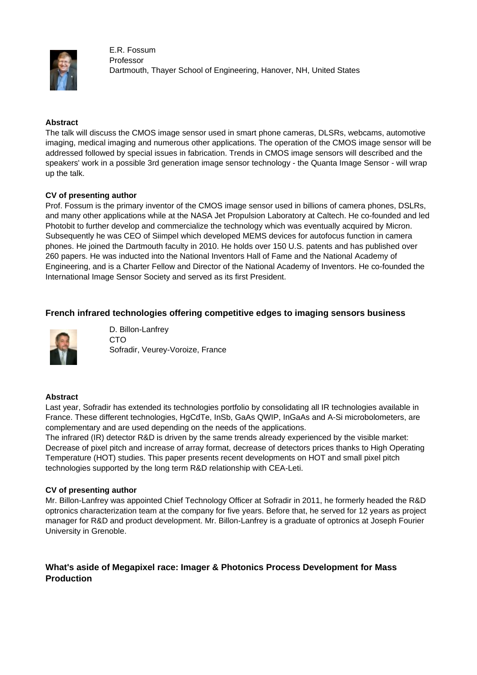

E.R. Fossum Professor Dartmouth, Thayer School of Engineering, Hanover, NH, United States

### **Abstract**

The talk will discuss the CMOS image sensor used in smart phone cameras, DLSRs, webcams, automotive imaging, medical imaging and numerous other applications. The operation of the CMOS image sensor will be addressed followed by special issues in fabrication. Trends in CMOS image sensors will described and the speakers' work in a possible 3rd generation image sensor technology - the Quanta Image Sensor - will wrap up the talk.

### **CV of presenting author**

Prof. Fossum is the primary inventor of the CMOS image sensor used in billions of camera phones, DSLRs, and many other applications while at the NASA Jet Propulsion Laboratory at Caltech. He co-founded and led Photobit to further develop and commercialize the technology which was eventually acquired by Micron. Subsequently he was CEO of Siimpel which developed MEMS devices for autofocus function in camera phones. He joined the Dartmouth faculty in 2010. He holds over 150 U.S. patents and has published over 260 papers. He was inducted into the National Inventors Hall of Fame and the National Academy of Engineering, and is a Charter Fellow and Director of the National Academy of Inventors. He co-founded the International Image Sensor Society and served as its first President.

# **French infrared technologies offering competitive edges to imaging sensors business**



D. Billon-Lanfrey CTO Sofradir, Veurey-Voroize, France

## **Abstract**

Last year, Sofradir has extended its technologies portfolio by consolidating all IR technologies available in France. These different technologies, HgCdTe, InSb, GaAs QWIP, InGaAs and A-Si microbolometers, are complementary and are used depending on the needs of the applications.

The infrared (IR) detector R&D is driven by the same trends already experienced by the visible market: Decrease of pixel pitch and increase of array format, decrease of detectors prices thanks to High Operating Temperature (HOT) studies. This paper presents recent developments on HOT and small pixel pitch technologies supported by the long term R&D relationship with CEA-Leti.

### **CV of presenting author**

Mr. Billon-Lanfrey was appointed Chief Technology Officer at Sofradir in 2011, he formerly headed the R&D optronics characterization team at the company for five years. Before that, he served for 12 years as project manager for R&D and product development. Mr. Billon-Lanfrey is a graduate of optronics at Joseph Fourier University in Grenoble.

# **What's aside of Megapixel race: Imager & Photonics Process Development for Mass Production**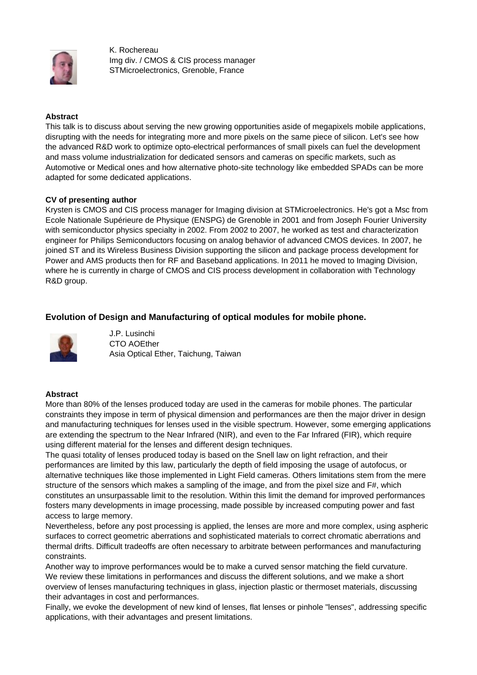

K. Rochereau Img div. / CMOS & CIS process manager STMicroelectronics, Grenoble, France

### **Abstract**

This talk is to discuss about serving the new growing opportunities aside of megapixels mobile applications, disrupting with the needs for integrating more and more pixels on the same piece of silicon. Let's see how the advanced R&D work to optimize opto-electrical performances of small pixels can fuel the development and mass volume industrialization for dedicated sensors and cameras on specific markets, such as Automotive or Medical ones and how alternative photo-site technology like embedded SPADs can be more adapted for some dedicated applications.

### **CV of presenting author**

Krysten is CMOS and CIS process manager for Imaging division at STMicroelectronics. He's got a Msc from Ecole Nationale Supérieure de Physique (ENSPG) de Grenoble in 2001 and from Joseph Fourier University with semiconductor physics specialty in 2002. From 2002 to 2007, he worked as test and characterization engineer for Philips Semiconductors focusing on analog behavior of advanced CMOS devices. In 2007, he joined ST and its Wireless Business Division supporting the silicon and package process development for Power and AMS products then for RF and Baseband applications. In 2011 he moved to Imaging Division, where he is currently in charge of CMOS and CIS process development in collaboration with Technology R&D group.

# **Evolution of Design and Manufacturing of optical modules for mobile phone.**



J.P. Lusinchi CTO AOEther Asia Optical Ether, Taichung, Taiwan

### **Abstract**

More than 80% of the lenses produced today are used in the cameras for mobile phones. The particular constraints they impose in term of physical dimension and performances are then the major driver in design and manufacturing techniques for lenses used in the visible spectrum. However, some emerging applications are extending the spectrum to the Near Infrared (NIR), and even to the Far Infrared (FIR), which require using different material for the lenses and different design techniques.

The quasi totality of lenses produced today is based on the Snell law on light refraction, and their performances are limited by this law, particularly the depth of field imposing the usage of autofocus, or alternative techniques like those implemented in Light Field cameras. Others limitations stem from the mere structure of the sensors which makes a sampling of the image, and from the pixel size and F#, which constitutes an unsurpassable limit to the resolution. Within this limit the demand for improved performances fosters many developments in image processing, made possible by increased computing power and fast access to large memory.

Nevertheless, before any post processing is applied, the lenses are more and more complex, using aspheric surfaces to correct geometric aberrations and sophisticated materials to correct chromatic aberrations and thermal drifts. Difficult tradeoffs are often necessary to arbitrate between performances and manufacturing constraints.

Another way to improve performances would be to make a curved sensor matching the field curvature. We review these limitations in performances and discuss the different solutions, and we make a short overview of lenses manufacturing techniques in glass, injection plastic or thermoset materials, discussing their advantages in cost and performances.

Finally, we evoke the development of new kind of lenses, flat lenses or pinhole "lenses", addressing specific applications, with their advantages and present limitations.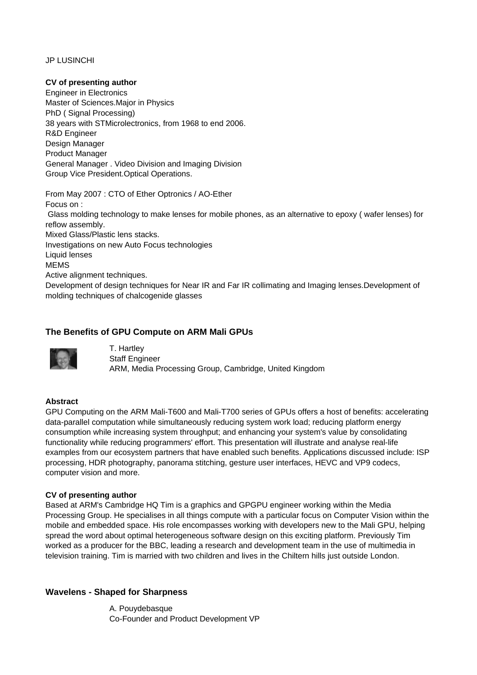JP LUSINCHI

#### **CV of presenting author**

Engineer in Electronics Master of Sciences.Major in Physics PhD ( Signal Processing) 38 years with STMicrolectronics, from 1968 to end 2006. R&D Engineer Design Manager Product Manager General Manager . Video Division and Imaging Division Group Vice President.Optical Operations.

From May 2007 : CTO of Ether Optronics / AO-Ether Focus on : Glass molding technology to make lenses for mobile phones, as an alternative to epoxy ( wafer lenses) for reflow assembly. Mixed Glass/Plastic lens stacks. Investigations on new Auto Focus technologies Liquid lenses MEMS Active alignment techniques. Development of design techniques for Near IR and Far IR collimating and Imaging lenses.Development of molding techniques of chalcogenide glasses

## **The Benefits of GPU Compute on ARM Mali GPUs**



T. Hartley Staff Engineer ARM, Media Processing Group, Cambridge, United Kingdom

### **Abstract**

GPU Computing on the ARM Mali-T600 and Mali-T700 series of GPUs offers a host of benefits: accelerating data-parallel computation while simultaneously reducing system work load; reducing platform energy consumption while increasing system throughput; and enhancing your system's value by consolidating functionality while reducing programmers' effort. This presentation will illustrate and analyse real-life examples from our ecosystem partners that have enabled such benefits. Applications discussed include: ISP processing, HDR photography, panorama stitching, gesture user interfaces, HEVC and VP9 codecs, computer vision and more.

### **CV of presenting author**

Based at ARM's Cambridge HQ Tim is a graphics and GPGPU engineer working within the Media Processing Group. He specialises in all things compute with a particular focus on Computer Vision within the mobile and embedded space. His role encompasses working with developers new to the Mali GPU, helping spread the word about optimal heterogeneous software design on this exciting platform. Previously Tim worked as a producer for the BBC, leading a research and development team in the use of multimedia in television training. Tim is married with two children and lives in the Chiltern hills just outside London.

### **Wavelens - Shaped for Sharpness**

A. Pouydebasque Co-Founder and Product Development VP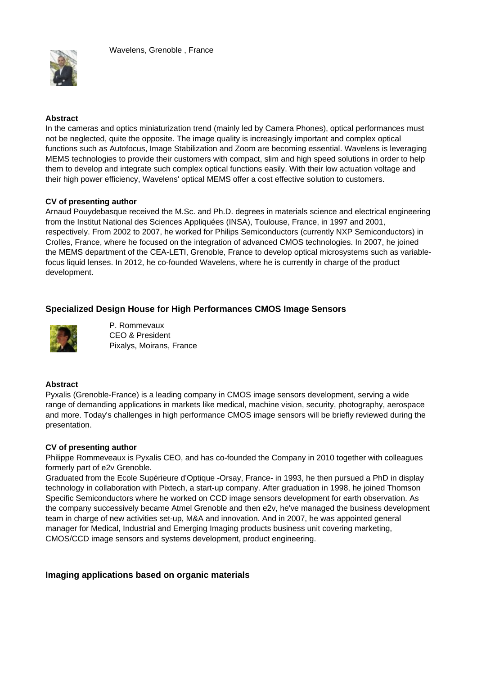

### **Abstract**

In the cameras and optics miniaturization trend (mainly led by Camera Phones), optical performances must not be neglected, quite the opposite. The image quality is increasingly important and complex optical functions such as Autofocus, Image Stabilization and Zoom are becoming essential. Wavelens is leveraging MEMS technologies to provide their customers with compact, slim and high speed solutions in order to help them to develop and integrate such complex optical functions easily. With their low actuation voltage and their high power efficiency, Wavelens' optical MEMS offer a cost effective solution to customers.

#### **CV of presenting author**

Arnaud Pouydebasque received the M.Sc. and Ph.D. degrees in materials science and electrical engineering from the Institut National des Sciences Appliquées (INSA), Toulouse, France, in 1997 and 2001, respectively. From 2002 to 2007, he worked for Philips Semiconductors (currently NXP Semiconductors) in Crolles, France, where he focused on the integration of advanced CMOS technologies. In 2007, he joined the MEMS department of the CEA-LETI, Grenoble, France to develop optical microsystems such as variablefocus liquid lenses. In 2012, he co-founded Wavelens, where he is currently in charge of the product development.

## **Specialized Design House for High Performances CMOS Image Sensors**



P. Rommevaux CEO & President Pixalys, Moirans, France

### **Abstract**

Pyxalis (Grenoble-France) is a leading company in CMOS image sensors development, serving a wide range of demanding applications in markets like medical, machine vision, security, photography, aerospace and more. Today's challenges in high performance CMOS image sensors will be briefly reviewed during the presentation.

### **CV of presenting author**

Philippe Rommeveaux is Pyxalis CEO, and has co-founded the Company in 2010 together with colleagues formerly part of e2v Grenoble.

Graduated from the Ecole Supérieure d'Optique -Orsay, France- in 1993, he then pursued a PhD in display technology in collaboration with Pixtech, a start-up company. After graduation in 1998, he joined Thomson Specific Semiconductors where he worked on CCD image sensors development for earth observation. As the company successively became Atmel Grenoble and then e2v, he've managed the business development team in charge of new activities set-up, M&A and innovation. And in 2007, he was appointed general manager for Medical, Industrial and Emerging Imaging products business unit covering marketing, CMOS/CCD image sensors and systems development, product engineering.

## **Imaging applications based on organic materials**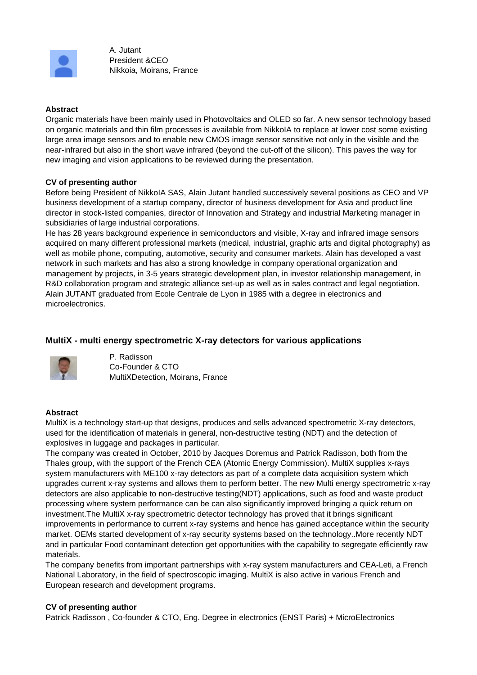

A. Jutant President &CEO Nikkoia, Moirans, France

#### **Abstract**

Organic materials have been mainly used in Photovoltaics and OLED so far. A new sensor technology based on organic materials and thin film processes is available from NikkoIA to replace at lower cost some existing large area image sensors and to enable new CMOS image sensor sensitive not only in the visible and the near-infrared but also in the short wave infrared (beyond the cut-off of the silicon). This paves the way for new imaging and vision applications to be reviewed during the presentation.

#### **CV of presenting author**

Before being President of NikkoIA SAS, Alain Jutant handled successively several positions as CEO and VP business development of a startup company, director of business development for Asia and product line director in stock-listed companies, director of Innovation and Strategy and industrial Marketing manager in subsidiaries of large industrial corporations.

He has 28 years background experience in semiconductors and visible, X-ray and infrared image sensors acquired on many different professional markets (medical, industrial, graphic arts and digital photography) as well as mobile phone, computing, automotive, security and consumer markets. Alain has developed a vast network in such markets and has also a strong knowledge in company operational organization and management by projects, in 3-5 years strategic development plan, in investor relationship management, in R&D collaboration program and strategic alliance set-up as well as in sales contract and legal negotiation. Alain JUTANT graduated from Ecole Centrale de Lyon in 1985 with a degree in electronics and microelectronics.

# **MultiX - multi energy spectrometric X-ray detectors for various applications**



P. Radisson Co-Founder & CTO MultiXDetection, Moirans, France

### **Abstract**

MultiX is a technology start-up that designs, produces and sells advanced spectrometric X-ray detectors, used for the identification of materials in general, non-destructive testing (NDT) and the detection of explosives in luggage and packages in particular.

The company was created in October, 2010 by Jacques Doremus and Patrick Radisson, both from the Thales group, with the support of the French CEA (Atomic Energy Commission). MultiX supplies x-rays system manufacturers with ME100 x-ray detectors as part of a complete data acquisition system which upgrades current x-ray systems and allows them to perform better. The new Multi energy spectrometric x-ray detectors are also applicable to non-destructive testing(NDT) applications, such as food and waste product processing where system performance can be can also significantly improved bringing a quick return on investment.The MultiX x-ray spectrometric detector technology has proved that it brings significant improvements in performance to current x-ray systems and hence has gained acceptance within the security market. OEMs started development of x-ray security systems based on the technology..More recently NDT and in particular Food contaminant detection get opportunities with the capability to segregate efficiently raw materials.

The company benefits from important partnerships with x-ray system manufacturers and CEA-Leti, a French National Laboratory, in the field of spectroscopic imaging. MultiX is also active in various French and European research and development programs.

#### **CV of presenting author**

Patrick Radisson , Co-founder & CTO, Eng. Degree in electronics (ENST Paris) + MicroElectronics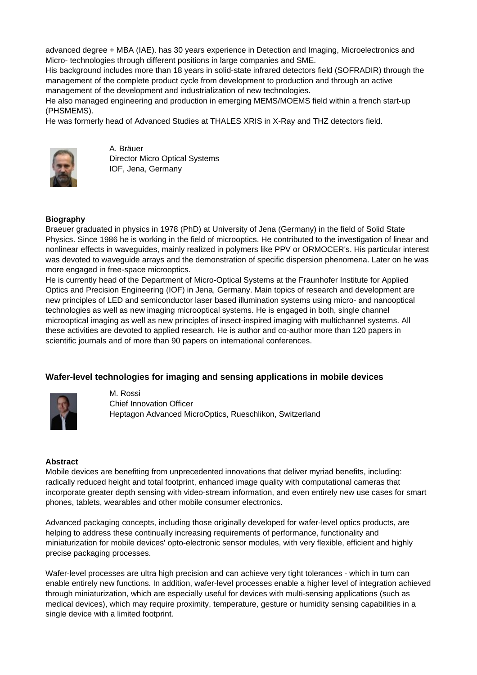advanced degree + MBA (IAE). has 30 years experience in Detection and Imaging, Microelectronics and Micro- technologies through different positions in large companies and SME.

His background includes more than 18 years in solid-state infrared detectors field (SOFRADIR) through the management of the complete product cycle from development to production and through an active management of the development and industrialization of new technologies.

He also managed engineering and production in emerging MEMS/MOEMS field within a french start-up (PHSMEMS).

He was formerly head of Advanced Studies at THALES XRIS in X-Ray and THZ detectors field.



A. Bräuer Director Micro Optical Systems IOF, Jena, Germany

## **Biography**

Braeuer graduated in physics in 1978 (PhD) at University of Jena (Germany) in the field of Solid State Physics. Since 1986 he is working in the field of microoptics. He contributed to the investigation of linear and nonlinear effects in waveguides, mainly realized in polymers like PPV or ORMOCER's. His particular interest was devoted to waveguide arrays and the demonstration of specific dispersion phenomena. Later on he was more engaged in free-space microoptics.

He is currently head of the Department of Micro-Optical Systems at the Fraunhofer Institute for Applied Optics and Precision Engineering (IOF) in Jena, Germany. Main topics of research and development are new principles of LED and semiconductor laser based illumination systems using micro- and nanooptical technologies as well as new imaging microoptical systems. He is engaged in both, single channel microoptical imaging as well as new principles of insect-inspired imaging with multichannel systems. All these activities are devoted to applied research. He is author and co-author more than 120 papers in scientific journals and of more than 90 papers on international conferences.

## **Wafer-level technologies for imaging and sensing applications in mobile devices**



M. Rossi Chief Innovation Officer Heptagon Advanced MicroOptics, Rueschlikon, Switzerland

### **Abstract**

Mobile devices are benefiting from unprecedented innovations that deliver myriad benefits, including: radically reduced height and total footprint, enhanced image quality with computational cameras that incorporate greater depth sensing with video-stream information, and even entirely new use cases for smart phones, tablets, wearables and other mobile consumer electronics.

Advanced packaging concepts, including those originally developed for wafer-level optics products, are helping to address these continually increasing requirements of performance, functionality and miniaturization for mobile devices' opto-electronic sensor modules, with very flexible, efficient and highly precise packaging processes.

Wafer-level processes are ultra high precision and can achieve very tight tolerances - which in turn can enable entirely new functions. In addition, wafer-level processes enable a higher level of integration achieved through miniaturization, which are especially useful for devices with multi-sensing applications (such as medical devices), which may require proximity, temperature, gesture or humidity sensing capabilities in a single device with a limited footprint.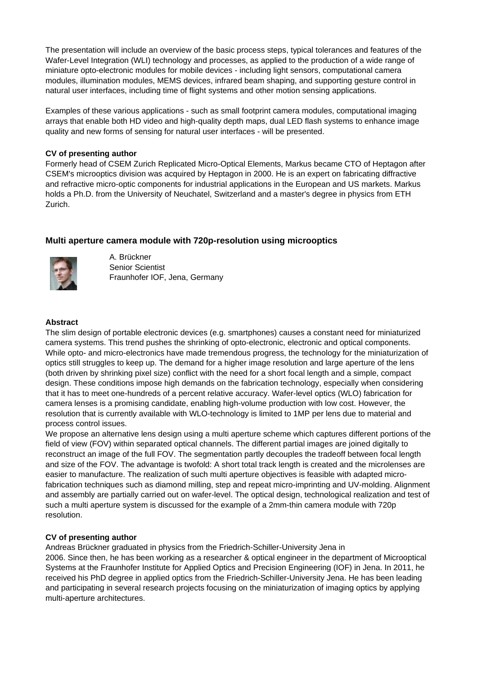The presentation will include an overview of the basic process steps, typical tolerances and features of the Wafer-Level Integration (WLI) technology and processes, as applied to the production of a wide range of miniature opto-electronic modules for mobile devices - including light sensors, computational camera modules, illumination modules, MEMS devices, infrared beam shaping, and supporting gesture control in natural user interfaces, including time of flight systems and other motion sensing applications.

Examples of these various applications - such as small footprint camera modules, computational imaging arrays that enable both HD video and high-quality depth maps, dual LED flash systems to enhance image quality and new forms of sensing for natural user interfaces - will be presented.

## **CV of presenting author**

Formerly head of CSEM Zurich Replicated Micro-Optical Elements, Markus became CTO of Heptagon after CSEM's microoptics division was acquired by Heptagon in 2000. He is an expert on fabricating diffractive and refractive micro-optic components for industrial applications in the European and US markets. Markus holds a Ph.D. from the University of Neuchatel, Switzerland and a master's degree in physics from ETH Zurich.

# **Multi aperture camera module with 720p-resolution using microoptics**



A. Brückner Senior Scientist Fraunhofer IOF, Jena, Germany

### **Abstract**

The slim design of portable electronic devices (e.g. smartphones) causes a constant need for miniaturized camera systems. This trend pushes the shrinking of opto-electronic, electronic and optical components. While opto- and micro-electronics have made tremendous progress, the technology for the miniaturization of optics still struggles to keep up. The demand for a higher image resolution and large aperture of the lens (both driven by shrinking pixel size) conflict with the need for a short focal length and a simple, compact design. These conditions impose high demands on the fabrication technology, especially when considering that it has to meet one-hundreds of a percent relative accuracy. Wafer-level optics (WLO) fabrication for camera lenses is a promising candidate, enabling high-volume production with low cost. However, the resolution that is currently available with WLO-technology is limited to 1MP per lens due to material and process control issues.

We propose an alternative lens design using a multi aperture scheme which captures different portions of the field of view (FOV) within separated optical channels. The different partial images are joined digitally to reconstruct an image of the full FOV. The segmentation partly decouples the tradeoff between focal length and size of the FOV. The advantage is twofold: A short total track length is created and the microlenses are easier to manufacture. The realization of such multi aperture objectives is feasible with adapted microfabrication techniques such as diamond milling, step and repeat micro-imprinting and UV-molding. Alignment and assembly are partially carried out on wafer-level. The optical design, technological realization and test of such a multi aperture system is discussed for the example of a 2mm-thin camera module with 720p resolution.

### **CV of presenting author**

Andreas Brückner graduated in physics from the Friedrich-Schiller-University Jena in 2006. Since then, he has been working as a researcher & optical engineer in the department of Microoptical Systems at the Fraunhofer Institute for Applied Optics and Precision Engineering (IOF) in Jena. In 2011, he received his PhD degree in applied optics from the Friedrich-Schiller-University Jena. He has been leading and participating in several research projects focusing on the miniaturization of imaging optics by applying multi-aperture architectures.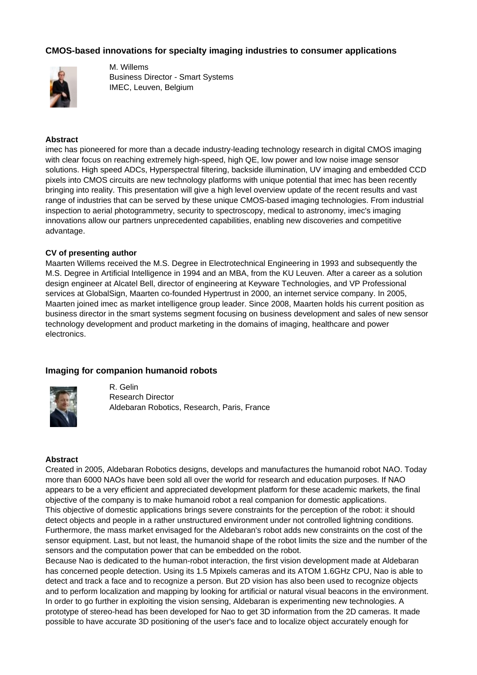## **CMOS-based innovations for specialty imaging industries to consumer applications**



M. Willems Business Director - Smart Systems IMEC, Leuven, Belgium

#### **Abstract**

imec has pioneered for more than a decade industry-leading technology research in digital CMOS imaging with clear focus on reaching extremely high-speed, high OE, low power and low noise image sensor solutions. High speed ADCs, Hyperspectral filtering, backside illumination, UV imaging and embedded CCD pixels into CMOS circuits are new technology platforms with unique potential that imec has been recently bringing into reality. This presentation will give a high level overview update of the recent results and vast range of industries that can be served by these unique CMOS-based imaging technologies. From industrial inspection to aerial photogrammetry, security to spectroscopy, medical to astronomy, imec's imaging innovations allow our partners unprecedented capabilities, enabling new discoveries and competitive advantage.

#### **CV of presenting author**

Maarten Willems received the M.S. Degree in Electrotechnical Engineering in 1993 and subsequently the M.S. Degree in Artificial Intelligence in 1994 and an MBA, from the KU Leuven. After a career as a solution design engineer at Alcatel Bell, director of engineering at Keyware Technologies, and VP Professional services at GlobalSign, Maarten co-founded Hypertrust in 2000, an internet service company. In 2005, Maarten joined imec as market intelligence group leader. Since 2008, Maarten holds his current position as business director in the smart systems segment focusing on business development and sales of new sensor technology development and product marketing in the domains of imaging, healthcare and power electronics.

#### **Imaging for companion humanoid robots**



R. Gelin Research Director Aldebaran Robotics, Research, Paris, France

#### **Abstract**

Created in 2005, Aldebaran Robotics designs, develops and manufactures the humanoid robot NAO. Today more than 6000 NAOs have been sold all over the world for research and education purposes. If NAO appears to be a very efficient and appreciated development platform for these academic markets, the final objective of the company is to make humanoid robot a real companion for domestic applications. This objective of domestic applications brings severe constraints for the perception of the robot: it should detect objects and people in a rather unstructured environment under not controlled lightning conditions. Furthermore, the mass market envisaged for the Aldebaran's robot adds new constraints on the cost of the sensor equipment. Last, but not least, the humanoid shape of the robot limits the size and the number of the sensors and the computation power that can be embedded on the robot.

Because Nao is dedicated to the human-robot interaction, the first vision development made at Aldebaran has concerned people detection. Using its 1.5 Mpixels cameras and its ATOM 1.6GHz CPU, Nao is able to detect and track a face and to recognize a person. But 2D vision has also been used to recognize objects and to perform localization and mapping by looking for artificial or natural visual beacons in the environment. In order to go further in exploiting the vision sensing, Aldebaran is experimenting new technologies. A prototype of stereo-head has been developed for Nao to get 3D information from the 2D cameras. It made possible to have accurate 3D positioning of the user's face and to localize object accurately enough for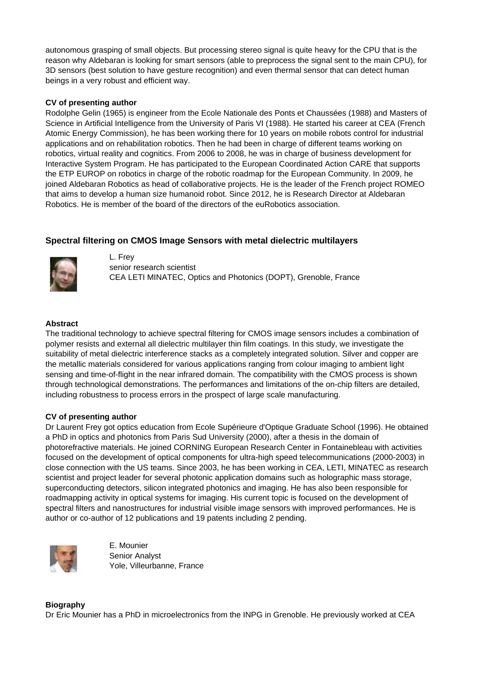autonomous grasping of small objects. But processing stereo signal is quite heavy for the CPU that is the reason why Aldebaran is looking for smart sensors (able to preprocess the signal sent to the main CPU), for 3D sensors (best solution to have gesture recognition) and even thermal sensor that can detect human beings in a very robust and efficient way.

## **CV of presenting author**

Rodolphe Gelin (1965) is engineer from the Ecole Nationale des Ponts et Chaussées (1988) and Masters of Science in Artificial Intelligence from the University of Paris VI (1988). He started his career at CEA (French Atomic Energy Commission), he has been working there for 10 years on mobile robots control for industrial applications and on rehabilitation robotics. Then he had been in charge of different teams working on robotics, virtual reality and cognitics. From 2006 to 2008, he was in charge of business development for Interactive System Program. He has participated to the European Coordinated Action CARE that supports the ETP EUROP on robotics in charge of the robotic roadmap for the European Community. In 2009, he joined Aldebaran Robotics as head of collaborative projects. He is the leader of the French project ROMEO that aims to develop a human size humanoid robot. Since 2012, he is Research Director at Aldebaran Robotics. He is member of the board of the directors of the euRobotics association.

# **Spectral filtering on CMOS Image Sensors with metal dielectric multilayers**



L. Frey senior research scientist CEA LETI MINATEC, Optics and Photonics (DOPT), Grenoble, France

### **Abstract**

The traditional technology to achieve spectral filtering for CMOS image sensors includes a combination of polymer resists and external all dielectric multilayer thin film coatings. In this study, we investigate the suitability of metal dielectric interference stacks as a completely integrated solution. Silver and copper are the metallic materials considered for various applications ranging from colour imaging to ambient light sensing and time-of-flight in the near infrared domain. The compatibility with the CMOS process is shown through technological demonstrations. The performances and limitations of the on-chip filters are detailed, including robustness to process errors in the prospect of large scale manufacturing.

### **CV of presenting author**

Dr Laurent Frey got optics education from Ecole Supérieure d'Optique Graduate School (1996). He obtained a PhD in optics and photonics from Paris Sud University (2000), after a thesis in the domain of photorefractive materials. He joined CORNING European Research Center in Fontainebleau with activities focused on the development of optical components for ultra-high speed telecommunications (2000-2003) in close connection with the US teams. Since 2003, he has been working in CEA, LETI, MINATEC as research scientist and project leader for several photonic application domains such as holographic mass storage, superconducting detectors, silicon integrated photonics and imaging. He has also been responsible for roadmapping activity in optical systems for imaging. His current topic is focused on the development of spectral filters and nanostructures for industrial visible image sensors with improved performances. He is author or co-author of 12 publications and 19 patents including 2 pending.



E. Mounier Senior Analyst Yole, Villeurbanne, France

## **Biography** Dr Eric Mounier has a PhD in microelectronics from the INPG in Grenoble. He previously worked at CEA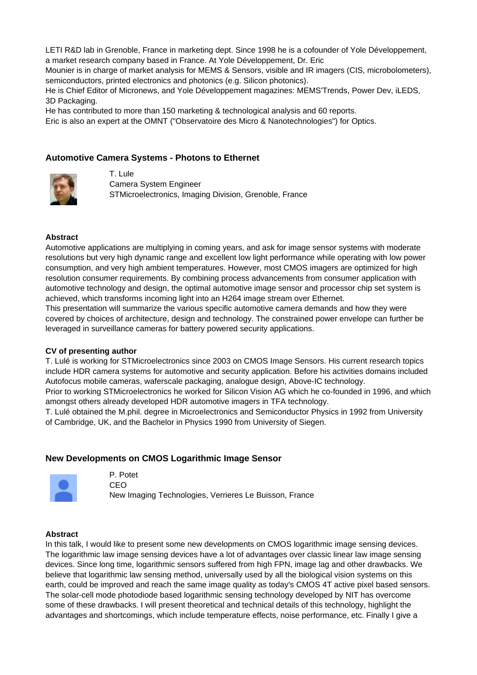LETI R&D lab in Grenoble, France in marketing dept. Since 1998 he is a cofounder of Yole Développement, a market research company based in France. At Yole Développement, Dr. Eric

Mounier is in charge of market analysis for MEMS & Sensors, visible and IR imagers (CIS, microbolometers), semiconductors, printed electronics and photonics (e.g. Silicon photonics).

He is Chief Editor of Micronews, and Yole Développement magazines: MEMS'Trends, Power Dev, iLEDS, 3D Packaging.

He has contributed to more than 150 marketing & technological analysis and 60 reports.

Eric is also an expert at the OMNT ("Observatoire des Micro & Nanotechnologies") for Optics.

## **Automotive Camera Systems - Photons to Ethernet**



T. Lule Camera System Engineer STMicroelectronics, Imaging Division, Grenoble, France

#### **Abstract**

Automotive applications are multiplying in coming years, and ask for image sensor systems with moderate resolutions but very high dynamic range and excellent low light performance while operating with low power consumption, and very high ambient temperatures. However, most CMOS imagers are optimized for high resolution consumer requirements. By combining process advancements from consumer application with automotive technology and design, the optimal automotive image sensor and processor chip set system is achieved, which transforms incoming light into an H264 image stream over Ethernet.

This presentation will summarize the various specific automotive camera demands and how they were covered by choices of architecture, design and technology. The constrained power envelope can further be leveraged in surveillance cameras for battery powered security applications.

#### **CV of presenting author**

T. Lulé is working for STMicroelectronics since 2003 on CMOS Image Sensors. His current research topics include HDR camera systems for automotive and security application. Before his activities domains included Autofocus mobile cameras, waferscale packaging, analogue design, Above-IC technology.

Prior to working STMicroelectronics he worked for Silicon Vision AG which he co-founded in 1996, and which amongst others already developed HDR automotive imagers in TFA technology.

T. Lulé obtained the M.phil. degree in Microelectronics and Semiconductor Physics in 1992 from University of Cambridge, UK, and the Bachelor in Physics 1990 from University of Siegen.

#### **New Developments on CMOS Logarithmic Image Sensor**



P. Potet CEO New Imaging Technologies, Verrieres Le Buisson, France

#### **Abstract**

In this talk, I would like to present some new developments on CMOS logarithmic image sensing devices. The logarithmic law image sensing devices have a lot of advantages over classic linear law image sensing devices. Since long time, logarithmic sensors suffered from high FPN, image lag and other drawbacks. We believe that logarithmic law sensing method, universally used by all the biological vision systems on this earth, could be improved and reach the same image quality as today's CMOS 4T active pixel based sensors. The solar-cell mode photodiode based logarithmic sensing technology developed by NIT has overcome some of these drawbacks. I will present theoretical and technical details of this technology, highlight the advantages and shortcomings, which include temperature effects, noise performance, etc. Finally I give a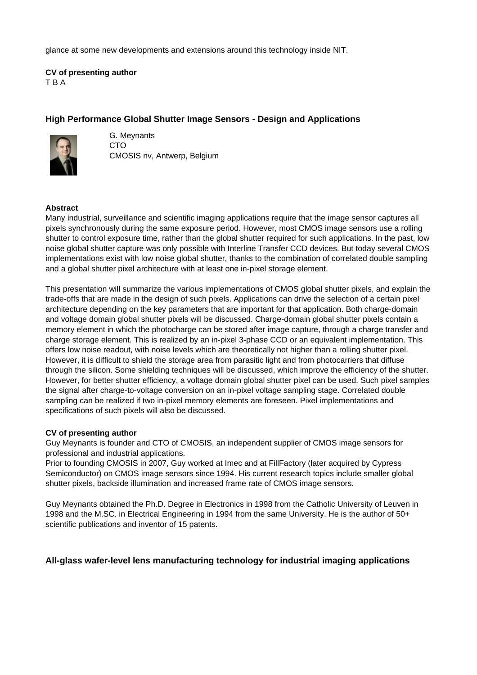glance at some new developments and extensions around this technology inside NIT.

**CV of presenting author** T B A

## **High Performance Global Shutter Image Sensors - Design and Applications**



G. Meynants CTO CMOSIS nv, Antwerp, Belgium

#### **Abstract**

Many industrial, surveillance and scientific imaging applications require that the image sensor captures all pixels synchronously during the same exposure period. However, most CMOS image sensors use a rolling shutter to control exposure time, rather than the global shutter required for such applications. In the past, low noise global shutter capture was only possible with Interline Transfer CCD devices. But today several CMOS implementations exist with low noise global shutter, thanks to the combination of correlated double sampling and a global shutter pixel architecture with at least one in-pixel storage element.

This presentation will summarize the various implementations of CMOS global shutter pixels, and explain the trade-offs that are made in the design of such pixels. Applications can drive the selection of a certain pixel architecture depending on the key parameters that are important for that application. Both charge-domain and voltage domain global shutter pixels will be discussed. Charge-domain global shutter pixels contain a memory element in which the photocharge can be stored after image capture, through a charge transfer and charge storage element. This is realized by an in-pixel 3-phase CCD or an equivalent implementation. This offers low noise readout, with noise levels which are theoretically not higher than a rolling shutter pixel. However, it is difficult to shield the storage area from parasitic light and from photocarriers that diffuse through the silicon. Some shielding techniques will be discussed, which improve the efficiency of the shutter. However, for better shutter efficiency, a voltage domain global shutter pixel can be used. Such pixel samples the signal after charge-to-voltage conversion on an in-pixel voltage sampling stage. Correlated double sampling can be realized if two in-pixel memory elements are foreseen. Pixel implementations and specifications of such pixels will also be discussed.

#### **CV of presenting author**

Guy Meynants is founder and CTO of CMOSIS, an independent supplier of CMOS image sensors for professional and industrial applications.

Prior to founding CMOSIS in 2007, Guy worked at Imec and at FillFactory (later acquired by Cypress Semiconductor) on CMOS image sensors since 1994. His current research topics include smaller global shutter pixels, backside illumination and increased frame rate of CMOS image sensors.

Guy Meynants obtained the Ph.D. Degree in Electronics in 1998 from the Catholic University of Leuven in 1998 and the M.SC. in Electrical Engineering in 1994 from the same University. He is the author of 50+ scientific publications and inventor of 15 patents.

### **All-glass wafer-level lens manufacturing technology for industrial imaging applications**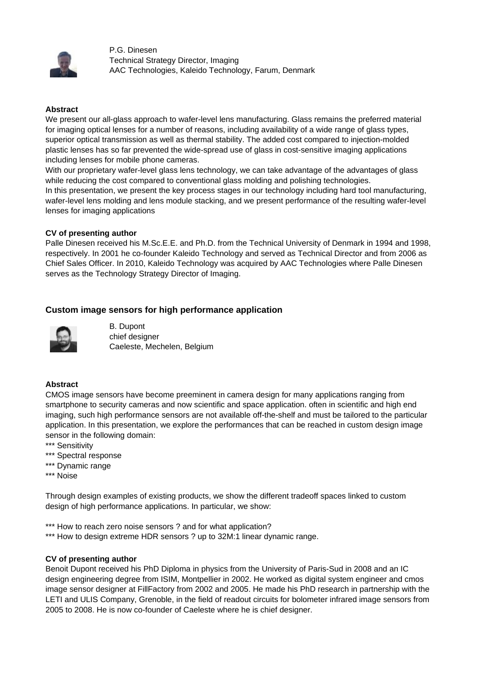

P.G. Dinesen Technical Strategy Director, Imaging AAC Technologies, Kaleido Technology, Farum, Denmark

#### **Abstract**

We present our all-glass approach to wafer-level lens manufacturing. Glass remains the preferred material for imaging optical lenses for a number of reasons, including availability of a wide range of glass types, superior optical transmission as well as thermal stability. The added cost compared to injection-molded plastic lenses has so far prevented the wide-spread use of glass in cost-sensitive imaging applications including lenses for mobile phone cameras.

With our proprietary wafer-level glass lens technology, we can take advantage of the advantages of glass while reducing the cost compared to conventional glass molding and polishing technologies. In this presentation, we present the key process stages in our technology including hard tool manufacturing, wafer-level lens molding and lens module stacking, and we present performance of the resulting wafer-level lenses for imaging applications

#### **CV of presenting author**

Palle Dinesen received his M.Sc.E.E. and Ph.D. from the Technical University of Denmark in 1994 and 1998, respectively. In 2001 he co-founder Kaleido Technology and served as Technical Director and from 2006 as Chief Sales Officer. In 2010, Kaleido Technology was acquired by AAC Technologies where Palle Dinesen serves as the Technology Strategy Director of Imaging.

### **Custom image sensors for high performance application**



B. Dupont chief designer Caeleste, Mechelen, Belgium

### **Abstract**

CMOS image sensors have become preeminent in camera design for many applications ranging from smartphone to security cameras and now scientific and space application. often in scientific and high end imaging, such high performance sensors are not available off-the-shelf and must be tailored to the particular application. In this presentation, we explore the performances that can be reached in custom design image sensor in the following domain:

- \*\*\* Sensitivity
- \*\*\* Spectral response
- \*\*\* Dynamic range
- \*\*\* Noise

Through design examples of existing products, we show the different tradeoff spaces linked to custom design of high performance applications. In particular, we show:

\*\*\* How to reach zero noise sensors ? and for what application?

\*\*\* How to design extreme HDR sensors ? up to 32M:1 linear dynamic range.

#### **CV of presenting author**

Benoit Dupont received his PhD Diploma in physics from the University of Paris-Sud in 2008 and an IC design engineering degree from ISIM, Montpellier in 2002. He worked as digital system engineer and cmos image sensor designer at FillFactory from 2002 and 2005. He made his PhD research in partnership with the LETI and ULIS Company, Grenoble, in the field of readout circuits for bolometer infrared image sensors from 2005 to 2008. He is now co-founder of Caeleste where he is chief designer.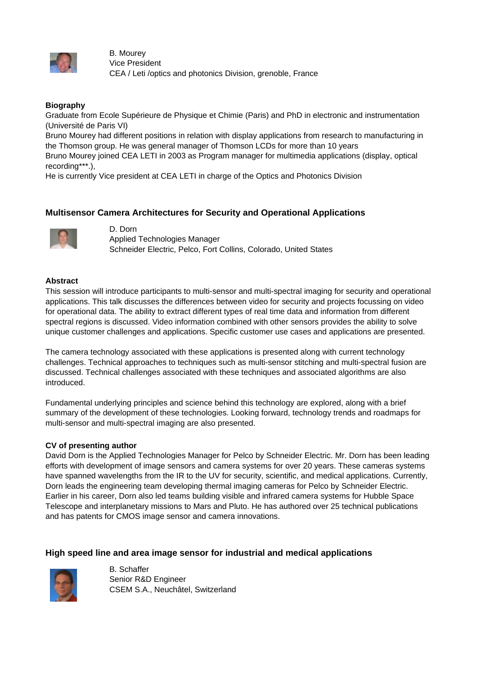

B. Mourey Vice President CEA / Leti /optics and photonics Division, grenoble, France

### **Biography**

Graduate from Ecole Supérieure de Physique et Chimie (Paris) and PhD in electronic and instrumentation (Université de Paris VI)

Bruno Mourey had different positions in relation with display applications from research to manufacturing in the Thomson group. He was general manager of Thomson LCDs for more than 10 years

Bruno Mourey joined CEA LETI in 2003 as Program manager for multimedia applications (display, optical recording\*\*\*.),

He is currently Vice president at CEA LETI in charge of the Optics and Photonics Division

## **Multisensor Camera Architectures for Security and Operational Applications**



D. Dorn Applied Technologies Manager Schneider Electric, Pelco, Fort Collins, Colorado, United States

#### **Abstract**

This session will introduce participants to multi-sensor and multi-spectral imaging for security and operational applications. This talk discusses the differences between video for security and projects focussing on video for operational data. The ability to extract different types of real time data and information from different spectral regions is discussed. Video information combined with other sensors provides the ability to solve unique customer challenges and applications. Specific customer use cases and applications are presented.

The camera technology associated with these applications is presented along with current technology challenges. Technical approaches to techniques such as multi-sensor stitching and multi-spectral fusion are discussed. Technical challenges associated with these techniques and associated algorithms are also introduced.

Fundamental underlying principles and science behind this technology are explored, along with a brief summary of the development of these technologies. Looking forward, technology trends and roadmaps for multi-sensor and multi-spectral imaging are also presented.

#### **CV of presenting author**

David Dorn is the Applied Technologies Manager for Pelco by Schneider Electric. Mr. Dorn has been leading efforts with development of image sensors and camera systems for over 20 years. These cameras systems have spanned wavelengths from the IR to the UV for security, scientific, and medical applications. Currently, Dorn leads the engineering team developing thermal imaging cameras for Pelco by Schneider Electric. Earlier in his career, Dorn also led teams building visible and infrared camera systems for Hubble Space Telescope and interplanetary missions to Mars and Pluto. He has authored over 25 technical publications and has patents for CMOS image sensor and camera innovations.

### **High speed line and area image sensor for industrial and medical applications**



B. Schaffer Senior R&D Engineer CSEM S.A., Neuchâtel, Switzerland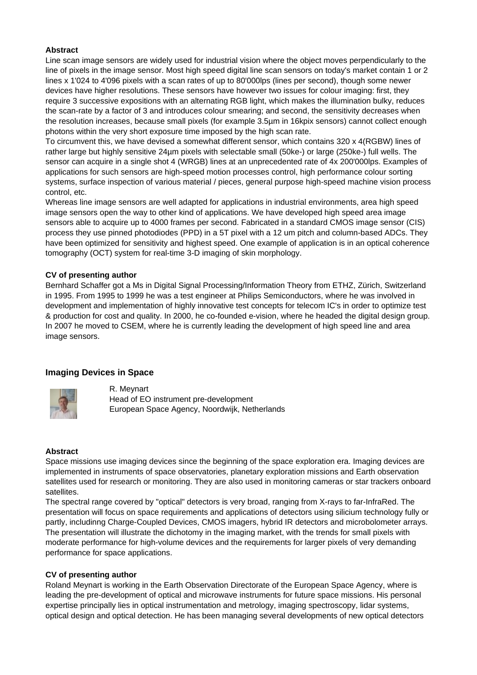### **Abstract**

Line scan image sensors are widely used for industrial vision where the object moves perpendicularly to the line of pixels in the image sensor. Most high speed digital line scan sensors on today's market contain 1 or 2 lines x 1'024 to 4'096 pixels with a scan rates of up to 80'000lps (lines per second), though some newer devices have higher resolutions. These sensors have however two issues for colour imaging: first, they require 3 successive expositions with an alternating RGB light, which makes the illumination bulky, reduces the scan-rate by a factor of 3 and introduces colour smearing; and second, the sensitivity decreases when the resolution increases, because small pixels (for example 3.5µm in 16kpix sensors) cannot collect enough photons within the very short exposure time imposed by the high scan rate.

To circumvent this, we have devised a somewhat different sensor, which contains 320 x 4(RGBW) lines of rather large but highly sensitive 24µm pixels with selectable small (50ke-) or large (250ke-) full wells. The sensor can acquire in a single shot 4 (WRGB) lines at an unprecedented rate of 4x 200'000lps. Examples of applications for such sensors are high-speed motion processes control, high performance colour sorting systems, surface inspection of various material / pieces, general purpose high-speed machine vision process control, etc.

Whereas line image sensors are well adapted for applications in industrial environments, area high speed image sensors open the way to other kind of applications. We have developed high speed area image sensors able to acquire up to 4000 frames per second. Fabricated in a standard CMOS image sensor (CIS) process they use pinned photodiodes (PPD) in a 5T pixel with a 12 um pitch and column-based ADCs. They have been optimized for sensitivity and highest speed. One example of application is in an optical coherence tomography (OCT) system for real-time 3-D imaging of skin morphology.

### **CV of presenting author**

Bernhard Schaffer got a Ms in Digital Signal Processing/Information Theory from ETHZ, Zürich, Switzerland in 1995. From 1995 to 1999 he was a test engineer at Philips Semiconductors, where he was involved in development and implementation of highly innovative test concepts for telecom IC's in order to optimize test & production for cost and quality. In 2000, he co-founded e-vision, where he headed the digital design group. In 2007 he moved to CSEM, where he is currently leading the development of high speed line and area image sensors.

## **Imaging Devices in Space**



R. Meynart Head of EO instrument pre-development European Space Agency, Noordwijk, Netherlands

## **Abstract**

Space missions use imaging devices since the beginning of the space exploration era. Imaging devices are implemented in instruments of space observatories, planetary exploration missions and Earth observation satellites used for research or monitoring. They are also used in monitoring cameras or star trackers onboard satellites.

The spectral range covered by "optical" detectors is very broad, ranging from X-rays to far-InfraRed. The presentation will focus on space requirements and applications of detectors using silicium technology fully or partly, includinng Charge-Coupled Devices, CMOS imagers, hybrid IR detectors and microbolometer arrays. The presentation will illustrate the dichotomy in the imaging market, with the trends for small pixels with moderate performance for high-volume devices and the requirements for larger pixels of very demanding performance for space applications.

### **CV of presenting author**

Roland Meynart is working in the Earth Observation Directorate of the European Space Agency, where is leading the pre-development of optical and microwave instruments for future space missions. His personal expertise principally lies in optical instrumentation and metrology, imaging spectroscopy, lidar systems, optical design and optical detection. He has been managing several developments of new optical detectors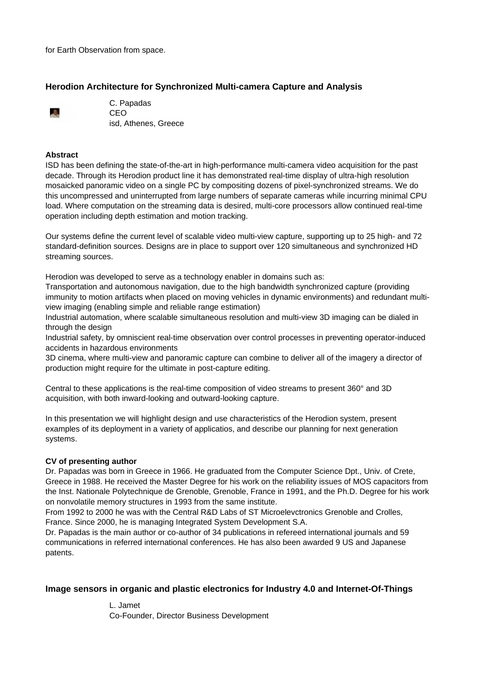for Earth Observation from space.

## **Herodion Architecture for Synchronized Multi-camera Capture and Analysis**



C. Papadas CEO isd, Athenes, Greece

#### **Abstract**

ISD has been defining the state-of-the-art in high-performance multi-camera video acquisition for the past decade. Through its Herodion product line it has demonstrated real-time display of ultra-high resolution mosaicked panoramic video on a single PC by compositing dozens of pixel-synchronized streams. We do this uncompressed and uninterrupted from large numbers of separate cameras while incurring minimal CPU load. Where computation on the streaming data is desired, multi-core processors allow continued real-time operation including depth estimation and motion tracking.

Our systems define the current level of scalable video multi-view capture, supporting up to 25 high- and 72 standard-definition sources. Designs are in place to support over 120 simultaneous and synchronized HD streaming sources.

Herodion was developed to serve as a technology enabler in domains such as:

Transportation and autonomous navigation, due to the high bandwidth synchronized capture (providing immunity to motion artifacts when placed on moving vehicles in dynamic environments) and redundant multiview imaging (enabling simple and reliable range estimation)

Industrial automation, where scalable simultaneous resolution and multi-view 3D imaging can be dialed in through the design

Industrial safety, by omniscient real-time observation over control processes in preventing operator-induced accidents in hazardous environments

3D cinema, where multi-view and panoramic capture can combine to deliver all of the imagery a director of production might require for the ultimate in post-capture editing.

Central to these applications is the real-time composition of video streams to present 360° and 3D acquisition, with both inward-looking and outward-looking capture.

In this presentation we will highlight design and use characteristics of the Herodion system, present examples of its deployment in a variety of applicatios, and describe our planning for next generation systems.

### **CV of presenting author**

Dr. Papadas was born in Greece in 1966. He graduated from the Computer Science Dpt., Univ. of Crete, Greece in 1988. He received the Master Degree for his work on the reliability issues of MOS capacitors from the Inst. Nationale Polytechnique de Grenoble, Grenoble, France in 1991, and the Ph.D. Degree for his work on nonvolatile memory structures in 1993 from the same institute.

From 1992 to 2000 he was with the Central R&D Labs of ST Microelevctronics Grenoble and Crolles, France. Since 2000, he is managing Integrated System Development S.A.

Dr. Papadas is the main author or co-author of 34 publications in refereed international journals and 59 communications in referred international conferences. He has also been awarded 9 US and Japanese patents.

### **Image sensors in organic and plastic electronics for Industry 4.0 and Internet-Of-Things**

L. Jamet Co-Founder, Director Business Development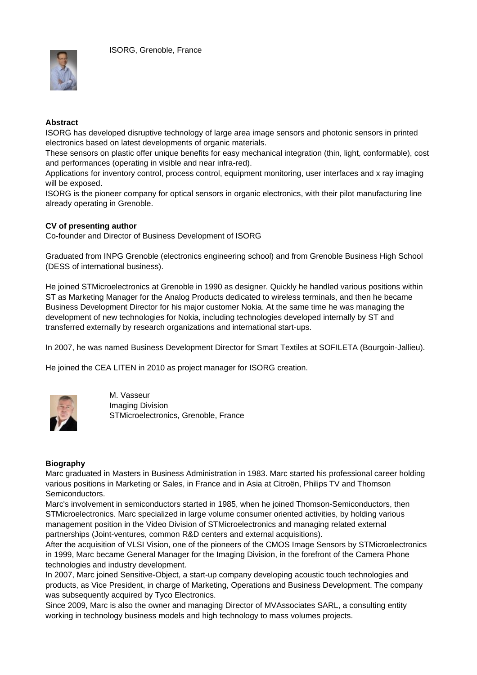

### **Abstract**

ISORG has developed disruptive technology of large area image sensors and photonic sensors in printed electronics based on latest developments of organic materials.

These sensors on plastic offer unique benefits for easy mechanical integration (thin, light, conformable), cost and performances (operating in visible and near infra-red).

Applications for inventory control, process control, equipment monitoring, user interfaces and x ray imaging will be exposed.

ISORG is the pioneer company for optical sensors in organic electronics, with their pilot manufacturing line already operating in Grenoble.

#### **CV of presenting author**

Co-founder and Director of Business Development of ISORG

Graduated from INPG Grenoble (electronics engineering school) and from Grenoble Business High School (DESS of international business).

He joined STMicroelectronics at Grenoble in 1990 as designer. Quickly he handled various positions within ST as Marketing Manager for the Analog Products dedicated to wireless terminals, and then he became Business Development Director for his major customer Nokia. At the same time he was managing the development of new technologies for Nokia, including technologies developed internally by ST and transferred externally by research organizations and international start-ups.

In 2007, he was named Business Development Director for Smart Textiles at SOFILETA (Bourgoin-Jallieu).

He joined the CEA LITEN in 2010 as project manager for ISORG creation.



M. Vasseur Imaging Division STMicroelectronics, Grenoble, France

#### **Biography**

Marc graduated in Masters in Business Administration in 1983. Marc started his professional career holding various positions in Marketing or Sales, in France and in Asia at Citroën, Philips TV and Thomson Semiconductors.

Marc's involvement in semiconductors started in 1985, when he joined Thomson-Semiconductors, then STMicroelectronics. Marc specialized in large volume consumer oriented activities, by holding various management position in the Video Division of STMicroelectronics and managing related external partnerships (Joint-ventures, common R&D centers and external acquisitions).

After the acquisition of VLSI Vision, one of the pioneers of the CMOS Image Sensors by STMicroelectronics in 1999, Marc became General Manager for the Imaging Division, in the forefront of the Camera Phone technologies and industry development.

In 2007, Marc joined Sensitive-Object, a start-up company developing acoustic touch technologies and products, as Vice President, in charge of Marketing, Operations and Business Development. The company was subsequently acquired by Tyco Electronics.

Since 2009, Marc is also the owner and managing Director of MVAssociates SARL, a consulting entity working in technology business models and high technology to mass volumes projects.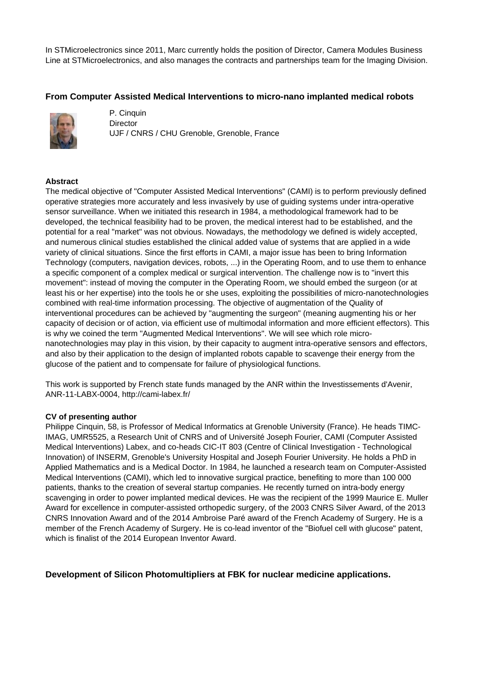In STMicroelectronics since 2011, Marc currently holds the position of Director, Camera Modules Business Line at STMicroelectronics, and also manages the contracts and partnerships team for the Imaging Division.

# **From Computer Assisted Medical Interventions to micro-nano implanted medical robots**



P. Cinquin **Director** UJF / CNRS / CHU Grenoble, Grenoble, France

## **Abstract**

The medical objective of "Computer Assisted Medical Interventions" (CAMI) is to perform previously defined operative strategies more accurately and less invasively by use of guiding systems under intra-operative sensor surveillance. When we initiated this research in 1984, a methodological framework had to be developed, the technical feasibility had to be proven, the medical interest had to be established, and the potential for a real "market" was not obvious. Nowadays, the methodology we defined is widely accepted, and numerous clinical studies established the clinical added value of systems that are applied in a wide variety of clinical situations. Since the first efforts in CAMI, a major issue has been to bring Information Technology (computers, navigation devices, robots, ...) in the Operating Room, and to use them to enhance a specific component of a complex medical or surgical intervention. The challenge now is to "invert this movement": instead of moving the computer in the Operating Room, we should embed the surgeon (or at least his or her expertise) into the tools he or she uses, exploiting the possibilities of micro-nanotechnologies combined with real-time information processing. The objective of augmentation of the Quality of interventional procedures can be achieved by "augmenting the surgeon" (meaning augmenting his or her capacity of decision or of action, via efficient use of multimodal information and more efficient effectors). This is why we coined the term "Augmented Medical Interventions". We will see which role micronanotechnologies may play in this vision, by their capacity to augment intra-operative sensors and effectors, and also by their application to the design of implanted robots capable to scavenge their energy from the glucose of the patient and to compensate for failure of physiological functions.

This work is supported by French state funds managed by the ANR within the Investissements d'Avenir, ANR-11-LABX-0004, http://cami-labex.fr/

### **CV of presenting author**

Philippe Cinquin, 58, is Professor of Medical Informatics at Grenoble University (France). He heads TIMC-IMAG, UMR5525, a Research Unit of CNRS and of Université Joseph Fourier, CAMI (Computer Assisted Medical Interventions) Labex, and co-heads CIC-IT 803 (Centre of Clinical Investigation - Technological Innovation) of INSERM, Grenoble's University Hospital and Joseph Fourier University. He holds a PhD in Applied Mathematics and is a Medical Doctor. In 1984, he launched a research team on Computer-Assisted Medical Interventions (CAMI), which led to innovative surgical practice, benefiting to more than 100 000 patients, thanks to the creation of several startup companies. He recently turned on intra-body energy scavenging in order to power implanted medical devices. He was the recipient of the 1999 Maurice E. Muller Award for excellence in computer-assisted orthopedic surgery, of the 2003 CNRS Silver Award, of the 2013 CNRS Innovation Award and of the 2014 Ambroise Paré award of the French Academy of Surgery. He is a member of the French Academy of Surgery. He is co-lead inventor of the "Biofuel cell with glucose" patent, which is finalist of the 2014 European Inventor Award.

**Development of Silicon Photomultipliers at FBK for nuclear medicine applications.**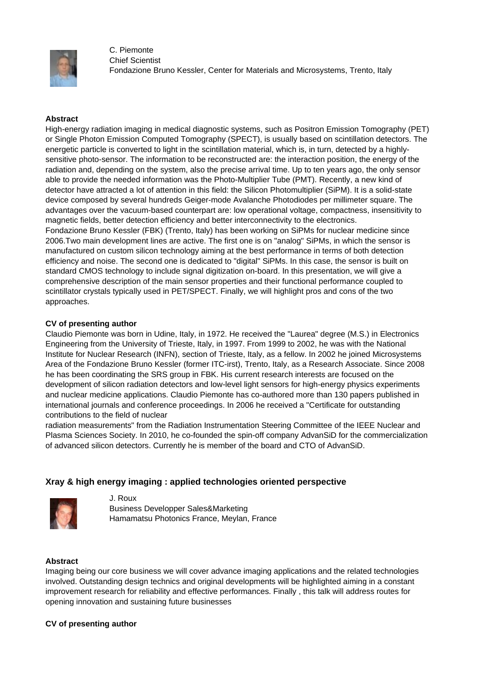

C. Piemonte Chief Scientist Fondazione Bruno Kessler, Center for Materials and Microsystems, Trento, Italy

#### **Abstract**

High-energy radiation imaging in medical diagnostic systems, such as Positron Emission Tomography (PET) or Single Photon Emission Computed Tomography (SPECT), is usually based on scintillation detectors. The energetic particle is converted to light in the scintillation material, which is, in turn, detected by a highlysensitive photo-sensor. The information to be reconstructed are: the interaction position, the energy of the radiation and, depending on the system, also the precise arrival time. Up to ten years ago, the only sensor able to provide the needed information was the Photo-Multiplier Tube (PMT). Recently, a new kind of detector have attracted a lot of attention in this field: the Silicon Photomultiplier (SiPM). It is a solid-state device composed by several hundreds Geiger-mode Avalanche Photodiodes per millimeter square. The advantages over the vacuum-based counterpart are: low operational voltage, compactness, insensitivity to magnetic fields, better detection efficiency and better interconnectivity to the electronics. Fondazione Bruno Kessler (FBK) (Trento, Italy) has been working on SiPMs for nuclear medicine since 2006.Two main development lines are active. The first one is on "analog" SiPMs, in which the sensor is manufactured on custom silicon technology aiming at the best performance in terms of both detection efficiency and noise. The second one is dedicated to "digital" SiPMs. In this case, the sensor is built on standard CMOS technology to include signal digitization on-board. In this presentation, we will give a comprehensive description of the main sensor properties and their functional performance coupled to scintillator crystals typically used in PET/SPECT. Finally, we will highlight pros and cons of the two approaches.

#### **CV of presenting author**

Claudio Piemonte was born in Udine, Italy, in 1972. He received the "Laurea" degree (M.S.) in Electronics Engineering from the University of Trieste, Italy, in 1997. From 1999 to 2002, he was with the National Institute for Nuclear Research (INFN), section of Trieste, Italy, as a fellow. In 2002 he joined Microsystems Area of the Fondazione Bruno Kessler (former ITC-irst), Trento, Italy, as a Research Associate. Since 2008 he has been coordinating the SRS group in FBK. His current research interests are focused on the development of silicon radiation detectors and low-level light sensors for high-energy physics experiments and nuclear medicine applications. Claudio Piemonte has co-authored more than 130 papers published in international journals and conference proceedings. In 2006 he received a "Certificate for outstanding contributions to the field of nuclear

radiation measurements" from the Radiation Instrumentation Steering Committee of the IEEE Nuclear and Plasma Sciences Society. In 2010, he co-founded the spin-off company AdvanSiD for the commercialization of advanced silicon detectors. Currently he is member of the board and CTO of AdvanSiD.

### **Xray & high energy imaging : applied technologies oriented perspective**



J. Roux Business Developper Sales&Marketing Hamamatsu Photonics France, Meylan, France

#### **Abstract**

Imaging being our core business we will cover advance imaging applications and the related technologies involved. Outstanding design technics and original developments will be highlighted aiming in a constant improvement research for reliability and effective performances. Finally , this talk will address routes for opening innovation and sustaining future businesses

#### **CV of presenting author**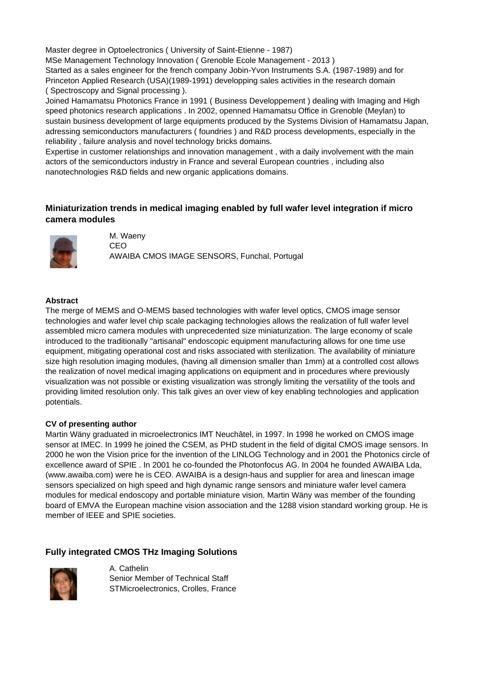Master degree in Optoelectronics ( University of Saint-Etienne - 1987) MSe Management Technology Innovation ( Grenoble Ecole Management - 2013 ) Started as a sales engineer for the french company Jobin-Yvon Instruments S.A. (1987-1989) and for Princeton Applied Research (USA)(1989-1991) developping sales activities in the research domain ( Spectroscopy and Signal processing ).

Joined Hamamatsu Photonics France in 1991 ( Business Developpement ) dealing with Imaging and High speed photonics research applications . In 2002, openned Hamamatsu Office in Grenoble (Meylan) to sustain business development of large equipments produced by the Systems Division of Hamamatsu Japan, adressing semiconductors manufacturers ( foundries ) and R&D process developments, especially in the reliability , failure analysis and novel technology bricks domains.

Expertise in customer relationships and innovation management , with a daily involvement with the main actors of the semiconductors industry in France and several European countries , including also nanotechnologies R&D fields and new organic applications domains.

# **Miniaturization trends in medical imaging enabled by full wafer level integration if micro camera modules**



M. Waeny CEO AWAIBA CMOS IMAGE SENSORS, Funchal, Portugal

### **Abstract**

The merge of MEMS and O-MEMS based technologies with wafer level optics, CMOS image sensor technologies and wafer level chip scale packaging technologies allows the realization of full wafer level assembled micro camera modules with unprecedented size miniaturization. The large economy of scale introduced to the traditionally "artisanal" endoscopic equipment manufacturing allows for one time use equipment, mitigating operational cost and risks associated with sterilization. The availability of miniature size high resolution imaging modules, (having all dimension smaller than 1mm) at a controlled cost allows the realization of novel medical imaging applications on equipment and in procedures where previously visualization was not possible or existing visualization was strongly limiting the versatility of the tools and providing limited resolution only. This talk gives an over view of key enabling technologies and application potentials.

### **CV of presenting author**

Martin Wäny graduated in microelectronics IMT Neuchâtel, in 1997. In 1998 he worked on CMOS image sensor at IMEC. In 1999 he joined the CSEM, as PHD student in the field of digital CMOS image sensors. In 2000 he won the Vision price for the invention of the LINLOG Technology and in 2001 the Photonics circle of excellence award of SPIE . In 2001 he co-founded the Photonfocus AG. In 2004 he founded AWAIBA Lda, (www.awaiba.com) were he is CEO. AWAIBA is a design-haus and supplier for area and linescan image sensors specialized on high speed and high dynamic range sensors and miniature wafer level camera modules for medical endoscopy and portable miniature vision. Martin Wäny was member of the founding board of EMVA the European machine vision association and the 1288 vision standard working group. He is member of IEEE and SPIE societies.

## **Fully integrated CMOS THz Imaging Solutions**



A. Cathelin Senior Member of Technical Staff STMicroelectronics, Crolles, France